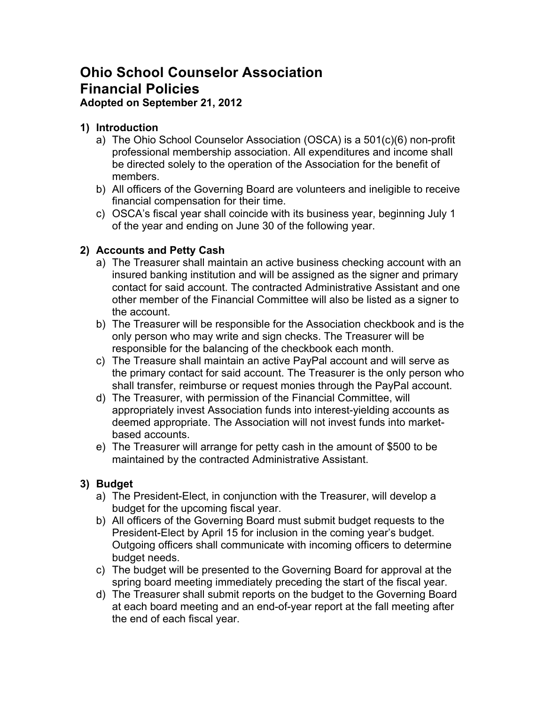# **Ohio School Counselor Association Financial Policies**

# **Adopted on September 21, 2012**

# **1) Introduction**

- a) The Ohio School Counselor Association (OSCA) is a 501(c)(6) non-profit professional membership association. All expenditures and income shall be directed solely to the operation of the Association for the benefit of members.
- b) All officers of the Governing Board are volunteers and ineligible to receive financial compensation for their time.
- c) OSCA's fiscal year shall coincide with its business year, beginning July 1 of the year and ending on June 30 of the following year.

# **2) Accounts and Petty Cash**

- a) The Treasurer shall maintain an active business checking account with an insured banking institution and will be assigned as the signer and primary contact for said account. The contracted Administrative Assistant and one other member of the Financial Committee will also be listed as a signer to the account.
- b) The Treasurer will be responsible for the Association checkbook and is the only person who may write and sign checks. The Treasurer will be responsible for the balancing of the checkbook each month.
- c) The Treasure shall maintain an active PayPal account and will serve as the primary contact for said account. The Treasurer is the only person who shall transfer, reimburse or request monies through the PayPal account.
- d) The Treasurer, with permission of the Financial Committee, will appropriately invest Association funds into interest-yielding accounts as deemed appropriate. The Association will not invest funds into marketbased accounts.
- e) The Treasurer will arrange for petty cash in the amount of \$500 to be maintained by the contracted Administrative Assistant.

# **3) Budget**

- a) The President-Elect, in conjunction with the Treasurer, will develop a budget for the upcoming fiscal year.
- b) All officers of the Governing Board must submit budget requests to the President-Elect by April 15 for inclusion in the coming year's budget. Outgoing officers shall communicate with incoming officers to determine budget needs.
- c) The budget will be presented to the Governing Board for approval at the spring board meeting immediately preceding the start of the fiscal year.
- d) The Treasurer shall submit reports on the budget to the Governing Board at each board meeting and an end-of-year report at the fall meeting after the end of each fiscal year.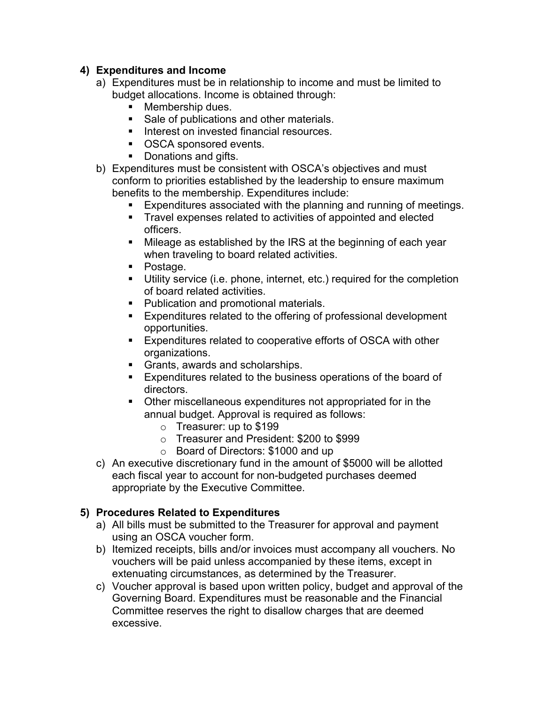#### **4) Expenditures and Income**

- a) Expenditures must be in relationship to income and must be limited to budget allocations. Income is obtained through:
	- Membership dues.
	- Sale of publications and other materials.
	- Interest on invested financial resources.
	- OSCA sponsored events.
	- Donations and gifts.
- b) Expenditures must be consistent with OSCA's objectives and must conform to priorities established by the leadership to ensure maximum benefits to the membership. Expenditures include:
	- Expenditures associated with the planning and running of meetings.
	- § Travel expenses related to activities of appointed and elected officers.
	- Mileage as established by the IRS at the beginning of each year when traveling to board related activities.
	- Postage.
	- § Utility service (i.e. phone, internet, etc.) required for the completion of board related activities.
	- Publication and promotional materials.
	- Expenditures related to the offering of professional development opportunities.
	- Expenditures related to cooperative efforts of OSCA with other organizations.
	- Grants, awards and scholarships.
	- Expenditures related to the business operations of the board of directors.
	- Other miscellaneous expenditures not appropriated for in the annual budget. Approval is required as follows:
		- o Treasurer: up to \$199
		- o Treasurer and President: \$200 to \$999
		- o Board of Directors: \$1000 and up
- c) An executive discretionary fund in the amount of \$5000 will be allotted each fiscal year to account for non-budgeted purchases deemed appropriate by the Executive Committee.

#### **5) Procedures Related to Expenditures**

- a) All bills must be submitted to the Treasurer for approval and payment using an OSCA voucher form.
- b) Itemized receipts, bills and/or invoices must accompany all vouchers. No vouchers will be paid unless accompanied by these items, except in extenuating circumstances, as determined by the Treasurer.
- c) Voucher approval is based upon written policy, budget and approval of the Governing Board. Expenditures must be reasonable and the Financial Committee reserves the right to disallow charges that are deemed excessive.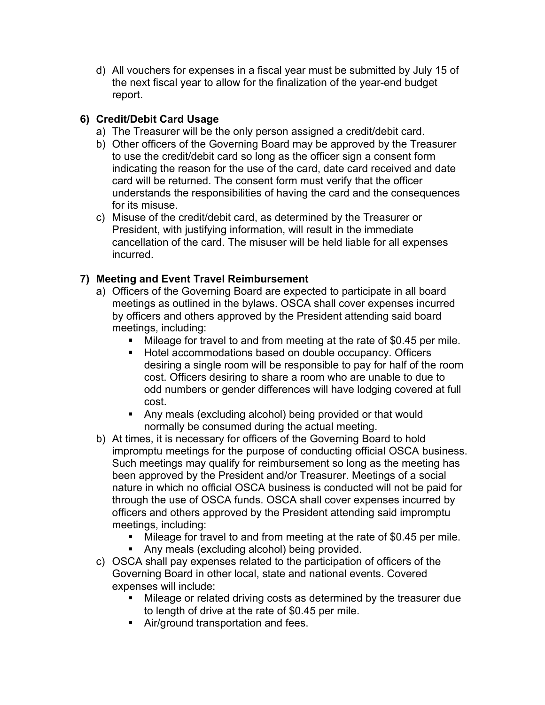d) All vouchers for expenses in a fiscal year must be submitted by July 15 of the next fiscal year to allow for the finalization of the year-end budget report.

# **6) Credit/Debit Card Usage**

- a) The Treasurer will be the only person assigned a credit/debit card.
- b) Other officers of the Governing Board may be approved by the Treasurer to use the credit/debit card so long as the officer sign a consent form indicating the reason for the use of the card, date card received and date card will be returned. The consent form must verify that the officer understands the responsibilities of having the card and the consequences for its misuse.
- c) Misuse of the credit/debit card, as determined by the Treasurer or President, with justifying information, will result in the immediate cancellation of the card. The misuser will be held liable for all expenses incurred.

# **7) Meeting and Event Travel Reimbursement**

- a) Officers of the Governing Board are expected to participate in all board meetings as outlined in the bylaws. OSCA shall cover expenses incurred by officers and others approved by the President attending said board meetings, including:
	- § Mileage for travel to and from meeting at the rate of \$0.45 per mile.
	- Hotel accommodations based on double occupancy. Officers desiring a single room will be responsible to pay for half of the room cost. Officers desiring to share a room who are unable to due to odd numbers or gender differences will have lodging covered at full cost.
	- Any meals (excluding alcohol) being provided or that would normally be consumed during the actual meeting.
- b) At times, it is necessary for officers of the Governing Board to hold impromptu meetings for the purpose of conducting official OSCA business. Such meetings may qualify for reimbursement so long as the meeting has been approved by the President and/or Treasurer. Meetings of a social nature in which no official OSCA business is conducted will not be paid for through the use of OSCA funds. OSCA shall cover expenses incurred by officers and others approved by the President attending said impromptu meetings, including:
	- Mileage for travel to and from meeting at the rate of \$0.45 per mile.
	- Any meals (excluding alcohol) being provided.
- c) OSCA shall pay expenses related to the participation of officers of the Governing Board in other local, state and national events. Covered expenses will include:
	- Mileage or related driving costs as determined by the treasurer due to length of drive at the rate of \$0.45 per mile.
	- Air/ground transportation and fees.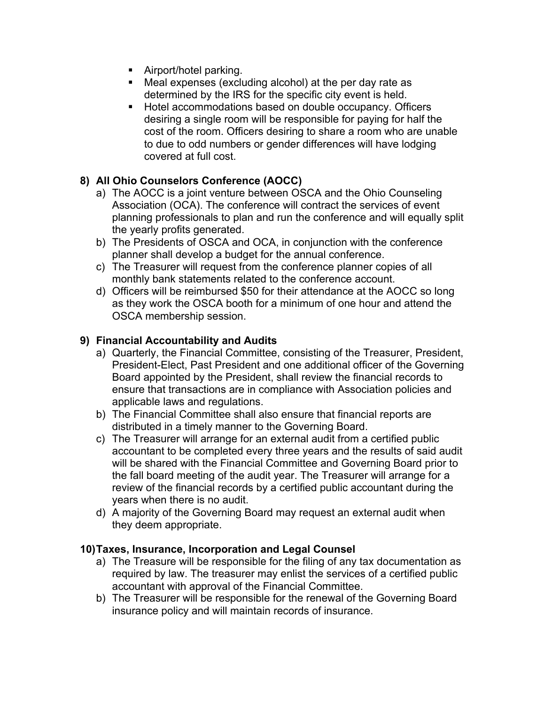- Airport/hotel parking.
- Meal expenses (excluding alcohol) at the per day rate as determined by the IRS for the specific city event is held.
- Hotel accommodations based on double occupancy. Officers desiring a single room will be responsible for paying for half the cost of the room. Officers desiring to share a room who are unable to due to odd numbers or gender differences will have lodging covered at full cost.

# **8) All Ohio Counselors Conference (AOCC)**

- a) The AOCC is a joint venture between OSCA and the Ohio Counseling Association (OCA). The conference will contract the services of event planning professionals to plan and run the conference and will equally split the yearly profits generated.
- b) The Presidents of OSCA and OCA, in conjunction with the conference planner shall develop a budget for the annual conference.
- c) The Treasurer will request from the conference planner copies of all monthly bank statements related to the conference account.
- d) Officers will be reimbursed \$50 for their attendance at the AOCC so long as they work the OSCA booth for a minimum of one hour and attend the OSCA membership session.

#### **9) Financial Accountability and Audits**

- a) Quarterly, the Financial Committee, consisting of the Treasurer, President, President-Elect, Past President and one additional officer of the Governing Board appointed by the President, shall review the financial records to ensure that transactions are in compliance with Association policies and applicable laws and regulations.
- b) The Financial Committee shall also ensure that financial reports are distributed in a timely manner to the Governing Board.
- c) The Treasurer will arrange for an external audit from a certified public accountant to be completed every three years and the results of said audit will be shared with the Financial Committee and Governing Board prior to the fall board meeting of the audit year. The Treasurer will arrange for a review of the financial records by a certified public accountant during the years when there is no audit.
- d) A majority of the Governing Board may request an external audit when they deem appropriate.

#### **10)Taxes, Insurance, Incorporation and Legal Counsel**

- a) The Treasure will be responsible for the filing of any tax documentation as required by law. The treasurer may enlist the services of a certified public accountant with approval of the Financial Committee.
- b) The Treasurer will be responsible for the renewal of the Governing Board insurance policy and will maintain records of insurance.